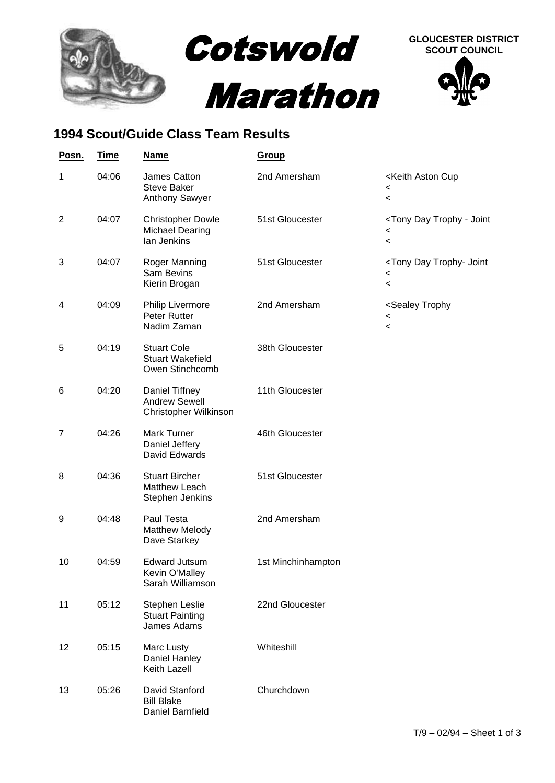

## **1994 Scout/Guide Class Team Results**

| Posn.          | <b>Time</b> | <b>Name</b>                                                       | Group              |                                                                                                |
|----------------|-------------|-------------------------------------------------------------------|--------------------|------------------------------------------------------------------------------------------------|
| 1              | 04:06       | James Catton<br><b>Steve Baker</b><br><b>Anthony Sawyer</b>       | 2nd Amersham       | <keith aston="" cup<br=""><math>\,&lt;\,</math><br/><math>\,&lt;\,</math></keith>              |
| $\overline{2}$ | 04:07       | <b>Christopher Dowle</b><br><b>Michael Dearing</b><br>lan Jenkins | 51st Gloucester    | <tony -="" day="" joint<br="" trophy=""><math>\,&lt;\,</math><br/><math>\,&lt;\,</math></tony> |
| 3              | 04:07       | Roger Manning<br>Sam Bevins<br>Kierin Brogan                      | 51st Gloucester    | <tony day="" joint<br="" trophy-=""><math>\,&lt;\,</math><br/><math>\,&lt;</math></tony>       |
| 4              | 04:09       | <b>Philip Livermore</b><br>Peter Rutter<br>Nadim Zaman            | 2nd Amersham       | <sealey trophy<br=""><math>\,&lt;\,</math><br/><math>\,&lt;\,</math></sealey>                  |
| 5              | 04:19       | <b>Stuart Cole</b><br><b>Stuart Wakefield</b><br>Owen Stinchcomb  | 38th Gloucester    |                                                                                                |
| 6              | 04:20       | Daniel Tiffney<br><b>Andrew Sewell</b><br>Christopher Wilkinson   | 11th Gloucester    |                                                                                                |
| 7              | 04:26       | Mark Turner<br>Daniel Jeffery<br>David Edwards                    | 46th Gloucester    |                                                                                                |
| 8              | 04:36       | <b>Stuart Bircher</b><br>Matthew Leach<br>Stephen Jenkins         | 51st Gloucester    |                                                                                                |
| 9              | 04:48       | Paul Testa<br><b>Matthew Melody</b><br>Dave Starkey               | 2nd Amersham       |                                                                                                |
| 10             | 04:59       | <b>Edward Jutsum</b><br>Kevin O'Malley<br>Sarah Williamson        | 1st Minchinhampton |                                                                                                |
| 11             | 05:12       | Stephen Leslie<br><b>Stuart Painting</b><br>James Adams           | 22nd Gloucester    |                                                                                                |
| 12             | 05:15       | Marc Lusty<br>Daniel Hanley<br>Keith Lazell                       | Whiteshill         |                                                                                                |
| 13             | 05:26       | David Stanford<br><b>Bill Blake</b><br>Daniel Barnfield           | Churchdown         |                                                                                                |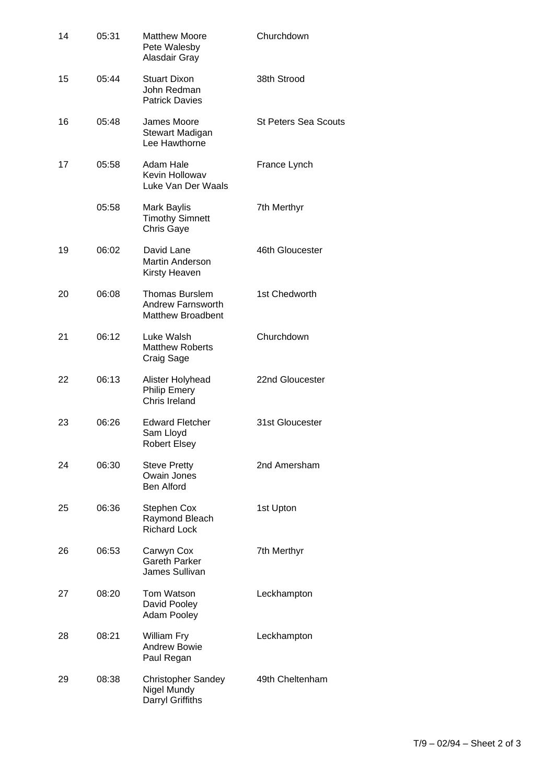| 14 | 05:31 | <b>Matthew Moore</b><br>Pete Walesby<br>Alasdair Gray                         | Churchdown                  |
|----|-------|-------------------------------------------------------------------------------|-----------------------------|
| 15 | 05:44 | <b>Stuart Dixon</b><br>John Redman<br><b>Patrick Davies</b>                   | 38th Strood                 |
| 16 | 05:48 | James Moore<br>Stewart Madigan<br>Lee Hawthorne                               | <b>St Peters Sea Scouts</b> |
| 17 | 05:58 | Adam Hale<br>Kevin Hollowav<br>Luke Van Der Waals                             | France Lynch                |
|    | 05:58 | Mark Baylis<br><b>Timothy Simnett</b><br>Chris Gaye                           | 7th Merthyr                 |
| 19 | 06:02 | David Lane<br><b>Martin Anderson</b><br>Kirsty Heaven                         | 46th Gloucester             |
| 20 | 06:08 | <b>Thomas Burslem</b><br><b>Andrew Farnsworth</b><br><b>Matthew Broadbent</b> | 1st Chedworth               |
| 21 | 06:12 | Luke Walsh<br><b>Matthew Roberts</b><br>Craig Sage                            | Churchdown                  |
| 22 | 06:13 | Alister Holyhead<br><b>Philip Emery</b><br>Chris Ireland                      | 22nd Gloucester             |
| 23 | 06:26 | <b>Edward Fletcher</b><br>Sam Lloyd<br><b>Robert Elsey</b>                    | 31st Gloucester             |
| 24 | 06:30 | <b>Steve Pretty</b><br>Owain Jones<br><b>Ben Alford</b>                       | 2nd Amersham                |
| 25 | 06:36 | <b>Stephen Cox</b><br>Raymond Bleach<br><b>Richard Lock</b>                   | 1st Upton                   |
| 26 | 06:53 | Carwyn Cox<br><b>Gareth Parker</b><br>James Sullivan                          | 7th Merthyr                 |
| 27 | 08:20 | Tom Watson<br>David Pooley<br><b>Adam Pooley</b>                              | Leckhampton                 |
| 28 | 08:21 | William Fry<br><b>Andrew Bowie</b><br>Paul Regan                              | Leckhampton                 |
| 29 | 08:38 | <b>Christopher Sandey</b><br>Nigel Mundy<br>Darryl Griffiths                  | 49th Cheltenham             |